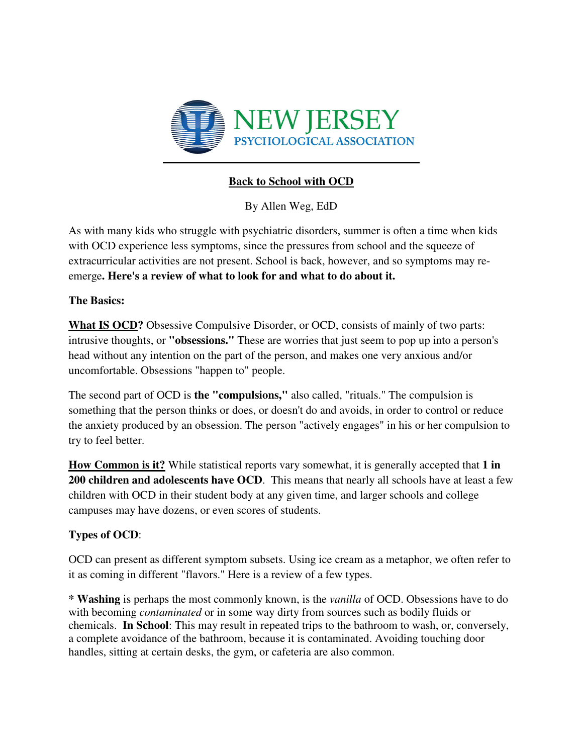

# **Back to School with OCD**

By Allen Weg, EdD

As with many kids who struggle with psychiatric disorders, summer is often a time when kids with OCD experience less symptoms, since the pressures from school and the squeeze of extracurricular activities are not present. School is back, however, and so symptoms may reemerge**. Here's a review of what to look for and what to do about it.** 

### **The Basics:**

**What IS OCD?** Obsessive Compulsive Disorder, or OCD, consists of mainly of two parts: intrusive thoughts, or **"obsessions."** These are worries that just seem to pop up into a person's head without any intention on the part of the person, and makes one very anxious and/or uncomfortable. Obsessions "happen to" people.

The second part of OCD is **the "compulsions,"** also called, "rituals." The compulsion is something that the person thinks or does, or doesn't do and avoids, in order to control or reduce the anxiety produced by an obsession. The person "actively engages" in his or her compulsion to try to feel better.

**How Common is it?** While statistical reports vary somewhat, it is generally accepted that **1 in 200 children and adolescents have OCD**. This means that nearly all schools have at least a few children with OCD in their student body at any given time, and larger schools and college campuses may have dozens, or even scores of students.

## **Types of OCD**:

OCD can present as different symptom subsets. Using ice cream as a metaphor, we often refer to it as coming in different "flavors." Here is a review of a few types.

**\* Washing** is perhaps the most commonly known, is the *vanilla* of OCD. Obsessions have to do with becoming *contaminated* or in some way dirty from sources such as bodily fluids or chemicals. **In School**: This may result in repeated trips to the bathroom to wash, or, conversely, a complete avoidance of the bathroom, because it is contaminated. Avoiding touching door handles, sitting at certain desks, the gym, or cafeteria are also common.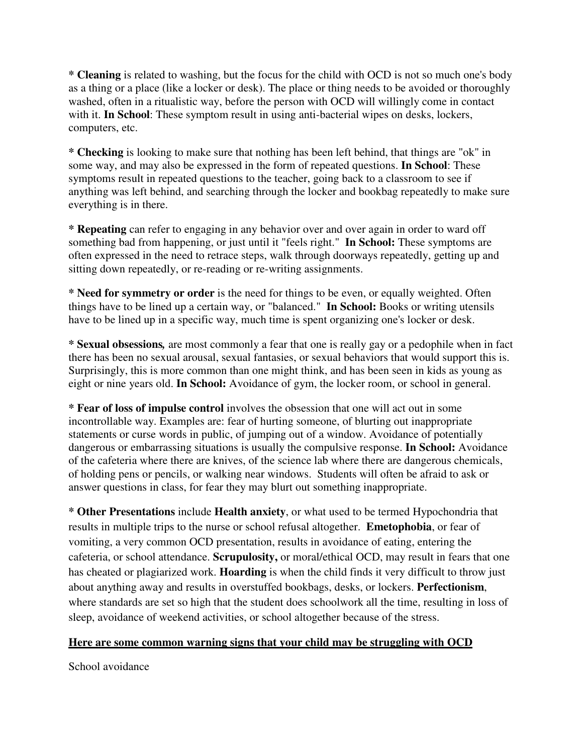**\* Cleaning** is related to washing, but the focus for the child with OCD is not so much one's body as a thing or a place (like a locker or desk). The place or thing needs to be avoided or thoroughly washed, often in a ritualistic way, before the person with OCD will willingly come in contact with it. **In School**: These symptom result in using anti-bacterial wipes on desks, lockers, computers, etc.

**\* Checking** is looking to make sure that nothing has been left behind, that things are "ok" in some way, and may also be expressed in the form of repeated questions. **In School**: These symptoms result in repeated questions to the teacher, going back to a classroom to see if anything was left behind, and searching through the locker and bookbag repeatedly to make sure everything is in there.

**\* Repeating** can refer to engaging in any behavior over and over again in order to ward off something bad from happening, or just until it "feels right." **In School:** These symptoms are often expressed in the need to retrace steps, walk through doorways repeatedly, getting up and sitting down repeatedly, or re-reading or re-writing assignments.

**\* Need for symmetry or order** is the need for things to be even, or equally weighted. Often things have to be lined up a certain way, or "balanced." **In School:** Books or writing utensils have to be lined up in a specific way, much time is spent organizing one's locker or desk.

**\* Sexual obsessions***,* are most commonly a fear that one is really gay or a pedophile when in fact there has been no sexual arousal, sexual fantasies, or sexual behaviors that would support this is. Surprisingly, this is more common than one might think, and has been seen in kids as young as eight or nine years old. **In School:** Avoidance of gym, the locker room, or school in general.

**\* Fear of loss of impulse control** involves the obsession that one will act out in some incontrollable way. Examples are: fear of hurting someone, of blurting out inappropriate statements or curse words in public, of jumping out of a window. Avoidance of potentially dangerous or embarrassing situations is usually the compulsive response. **In School:** Avoidance of the cafeteria where there are knives, of the science lab where there are dangerous chemicals, of holding pens or pencils, or walking near windows. Students will often be afraid to ask or answer questions in class, for fear they may blurt out something inappropriate.

**\* Other Presentations** include **Health anxiety**, or what used to be termed Hypochondria that results in multiple trips to the nurse or school refusal altogether. **Emetophobia**, or fear of vomiting, a very common OCD presentation, results in avoidance of eating, entering the cafeteria, or school attendance. **Scrupulosity,** or moral/ethical OCD, may result in fears that one has cheated or plagiarized work. **Hoarding** is when the child finds it very difficult to throw just about anything away and results in overstuffed bookbags, desks, or lockers. **Perfectionism**, where standards are set so high that the student does schoolwork all the time, resulting in loss of sleep, avoidance of weekend activities, or school altogether because of the stress.

### **Here are some common warning signs that your child may be struggling with OCD**

School avoidance